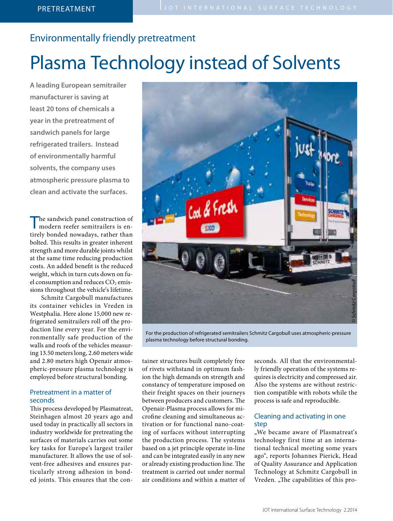# Environmentally friendly pretreatment

# Plasma Technology instead of Solvents

**A leading European semitrailer manufacturer is saving at least 20 tons of chemicals a year in the pretreatment of sandwich panels for large refrigerated trailers. Instead of environmentally harmful solvents, the company uses atmospheric pressure plasma to clean and activate the surfaces.**

The sandwich panel construction of modern reefer semitrailers is entirely bonded nowadays, rather than bolted. This results in greater inherent strength and more durable joints whilst at the same time reducing production costs. An added benefit is the reduced weight, which in turn cuts down on fuel consumption and reduces  $CO<sub>2</sub>$  emissions throughout the vehicle's lifetime.

Schmitz Cargobull manufactures its container vehicles in Vreden in Westphalia. Here alone 15,000 new refrigerated semitrailers roll off the production line every year. For the environmentally safe production of the walls and roofs of the vehicles measuring 13.50 meters long, 2.60 meters wide and 2.80 meters high Openair atmospheric-pressure plasma technology is employed before structural bonding.

# Pretreatment in a matter of seconds

This process developed by Plasmatreat, Steinhagen almost 20 years ago and used today in practically all sectors in industry worldwide for pretreating the surfaces of materials carries out some key tasks for Europe's largest trailer manufacturer. It allows the use of solvent-free adhesives and ensures particularly strong adhesion in bonded joints. This ensures that the con-



For the production of refrigerated semitrailers Schmitz Cargobull uses atmospheric-pressure plasma technology before structural bonding.

tainer structures built completely free of rivets withstand in optimum fashion the high demands on strength and constancy of temperature imposed on their freight spaces on their journeys between producers and customers. The Openair-Plasma process allows for microfine cleaning and simultaneous activation or for functional nano-coating of surfaces without interrupting the production process. The systems based on a jet principle operate in-line and can be integrated easily in any new or already existing production line. The treatment is carried out under normal air conditions and within a matter of seconds. All that the environmentally friendly operation of the systems requires is electricity and compressed air. Also the systems are without restriction compatible with robots while the process is safe and reproducible.

## Cleaning and activating in one step

"We became aware of Plasmatreat's technology first time at an international technical meeting some years ago", reports Johannes Pierick, Head of Quality Assurance and Application Technology at Schmitz Cargobull in Vreden. "The capabilities of this pro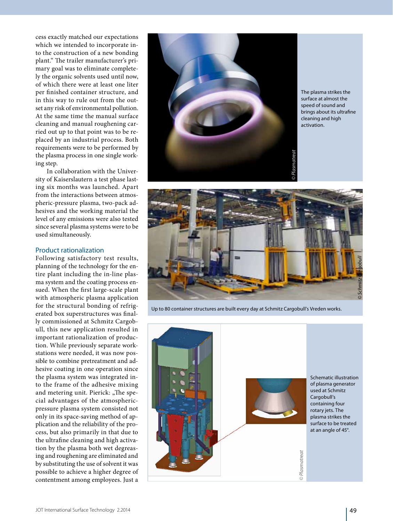cess exactly matched our expectations which we intended to incorporate into the construction of a new bonding plant." The trailer manufacturer's primary goal was to eliminate completely the organic solvents used until now, of which there were at least one liter per finished container structure, and in this way to rule out from the outset any risk of environmental pollution. At the same time the manual surface cleaning and manual roughening carried out up to that point was to be replaced by an industrial process. Both requirements were to be performed by the plasma process in one single working step.

In collaboration with the University of Kaiserslautern a test phase lasting six months was launched. Apart from the interactions between atmospheric-pressure plasma, two-pack adhesives and the working material the level of any emissions were also tested since several plasma systems were to be used simultaneously.

#### Product rationalization

Following satisfactory test results, planning of the technology for the entire plant including the in-line plasma system and the coating process ensued. When the first large-scale plant with atmospheric plasma application for the structural bonding of refrigerated box superstructures was finally commissioned at Schmitz Cargobull, this new application resulted in important rationalization of production. While previously separate workstations were needed, it was now possible to combine pretreatment and adhesive coating in one operation since the plasma system was integrated into the frame of the adhesive mixing and metering unit. Pierick: "The special advantages of the atmosphericpressure plasma system consisted not only in its space-saving method of application and the reliability of the process, but also primarily in that due to the ultrafine cleaning and high activation by the plasma both wet degreasing and roughening are eliminated and by substituting the use of solvent it was possible to achieve a higher degree of contentment among employees. Just a



The plasma strikes the surface at almost the speed of sound and brings about its ultrafine cleaning and high activation.



Up to 80 container structures are built every day at Schmitz Cargobull's Vreden works.